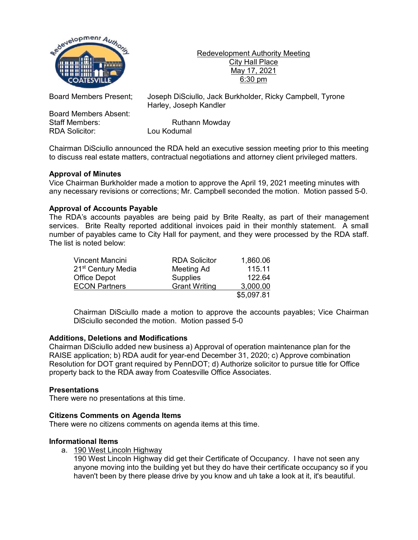

Redevelopment Authority Meeting City Hall Place May 17, 2021 6:30 pm

Board Members Absent: Staff Members: Ruthann Mowday<br>RDA Solicitor: Lou Kodumal RDA Solicitor:

Board Members Present; Joseph DiSciullo, Jack Burkholder, Ricky Campbell, Tyrone Harley, Joseph Kandler

Chairman DiSciullo announced the RDA held an executive session meeting prior to this meeting to discuss real estate matters, contractual negotiations and attorney client privileged matters.

# **Approval of Minutes**

Vice Chairman Burkholder made a motion to approve the April 19, 2021 meeting minutes with any necessary revisions or corrections; Mr. Campbell seconded the motion. Motion passed 5-0.

## **Approval of Accounts Payable**

The RDA's accounts payables are being paid by Brite Realty, as part of their management services. Brite Realty reported additional invoices paid in their monthly statement. A small number of payables came to City Hall for payment, and they were processed by the RDA staff. The list is noted below:

| Vincent Mancini                | <b>RDA Solicitor</b> | 1,860.06   |
|--------------------------------|----------------------|------------|
| 21 <sup>st</sup> Century Media | Meeting Ad           | 115.11     |
| <b>Office Depot</b>            | <b>Supplies</b>      | 122.64     |
| <b>ECON Partners</b>           | <b>Grant Writing</b> | 3,000.00   |
|                                |                      | \$5,097.81 |

Chairman DiSciullo made a motion to approve the accounts payables; Vice Chairman DiSciullo seconded the motion. Motion passed 5-0

### **Additions, Deletions and Modifications**

Chairman DiSciullo added new business a) Approval of operation maintenance plan for the RAISE application; b) RDA audit for year-end December 31, 2020; c) Approve combination Resolution for DOT grant required by PennDOT; d) Authorize solicitor to pursue title for Office property back to the RDA away from Coatesville Office Associates.

### **Presentations**

There were no presentations at this time.

### **Citizens Comments on Agenda Items**

There were no citizens comments on agenda items at this time.

### **Informational Items**

a. 190 West Lincoln Highway

190 West Lincoln Highway did get their Certificate of Occupancy. I have not seen any anyone moving into the building yet but they do have their certificate occupancy so if you haven't been by there please drive by you know and uh take a look at it, it's beautiful.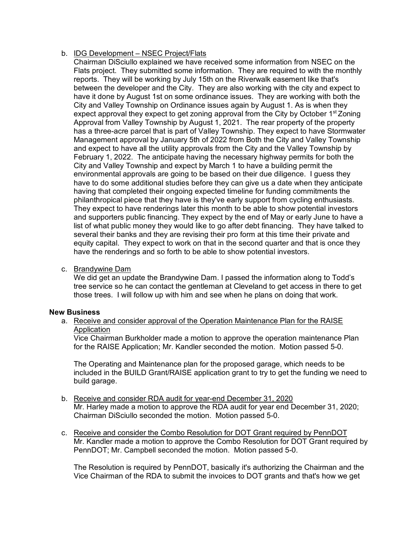# b. IDG Development – NSEC Project/Flats

Chairman DiSciullo explained we have received some information from NSEC on the Flats project. They submitted some information. They are required to with the monthly reports. They will be working by July 15th on the Riverwalk easement like that's between the developer and the City. They are also working with the city and expect to have it done by August 1st on some ordinance issues. They are working with both the City and Valley Township on Ordinance issues again by August 1. As is when they expect approval they expect to get zoning approval from the City by October  $1^{st}$  Zoning Approval from Valley Township by August 1, 2021. The rear property of the property has a three-acre parcel that is part of Valley Township. They expect to have Stormwater Management approval by January 5th of 2022 from Both the City and Valley Township and expect to have all the utility approvals from the City and the Valley Township by February 1, 2022. The anticipate having the necessary highway permits for both the City and Valley Township and expect by March 1 to have a building permit the environmental approvals are going to be based on their due diligence. I guess they have to do some additional studies before they can give us a date when they anticipate having that completed their ongoing expected timeline for funding commitments the philanthropical piece that they have is they've early support from cycling enthusiasts. They expect to have renderings later this month to be able to show potential investors and supporters public financing. They expect by the end of May or early June to have a list of what public money they would like to go after debt financing. They have talked to several their banks and they are revising their pro form at this time their private and equity capital. They expect to work on that in the second quarter and that is once they have the renderings and so forth to be able to show potential investors.

c. Brandywine Dam

We did get an update the Brandywine Dam. I passed the information along to Todd's tree service so he can contact the gentleman at Cleveland to get access in there to get those trees. I will follow up with him and see when he plans on doing that work.

### **New Business**

### a. Receive and consider approval of the Operation Maintenance Plan for the RAISE Application

Vice Chairman Burkholder made a motion to approve the operation maintenance Plan for the RAISE Application; Mr. Kandler seconded the motion. Motion passed 5-0.

The Operating and Maintenance plan for the proposed garage, which needs to be included in the BUILD Grant/RAISE application grant to try to get the funding we need to build garage.

- b. Receive and consider RDA audit for year-end December 31, 2020 Mr. Harley made a motion to approve the RDA audit for year end December 31, 2020; Chairman DiSciullo seconded the motion. Motion passed 5-0.
- c. Receive and consider the Combo Resolution for DOT Grant required by PennDOT Mr. Kandler made a motion to approve the Combo Resolution for DOT Grant required by PennDOT; Mr. Campbell seconded the motion. Motion passed 5-0.

The Resolution is required by PennDOT, basically it's authorizing the Chairman and the Vice Chairman of the RDA to submit the invoices to DOT grants and that's how we get